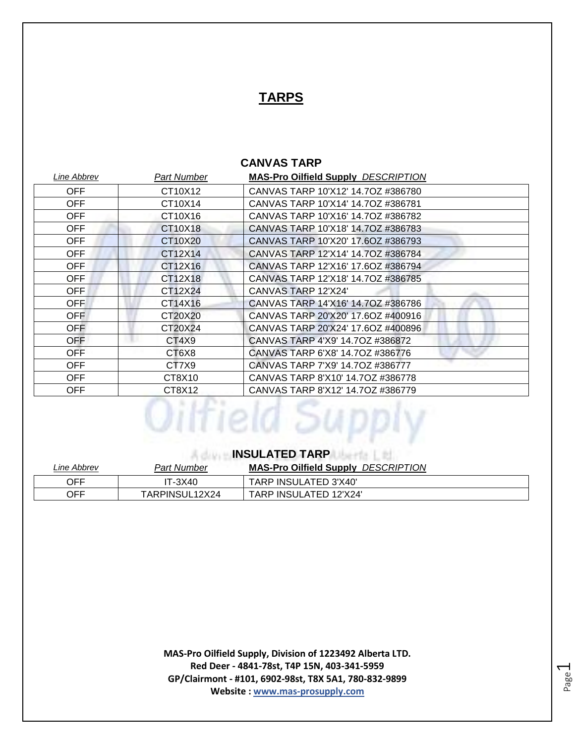# **TARPS**

## **CANVAS TARP**

| Line Abbrev | <b>Part Number</b> | <b>MAS-Pro Oilfield Supply DESCRIPTION</b> |
|-------------|--------------------|--------------------------------------------|
| OFF         | CT10X12            | CANVAS TARP 10'X12' 14.7OZ #386780         |
| <b>OFF</b>  | CT10X14            | CANVAS TARP 10'X14' 14.70Z #386781         |
| <b>OFF</b>  | CT10X16            | CANVAS TARP 10'X16' 14.7OZ #386782         |
| <b>OFF</b>  | CT10X18            | CANVAS TARP 10'X18' 14.70Z #386783         |
| <b>OFF</b>  | CT10X20            | CANVAS TARP 10'X20' 17.6OZ #386793         |
| OFF.        | CT12X14            | CANVAS TARP 12'X14' 14.7OZ #386784         |
| <b>OFF</b>  | CT12X16            | CANVAS TARP 12'X16' 17.6OZ #386794         |
| <b>OFF</b>  | CT12X18            | CANVAS TARP 12'X18' 14.70Z #386785         |
| OFF         | CT12X24            | CANVAS TARP 12'X24'                        |
| <b>OFF</b>  | CT14X16            | CANVAS TARP 14'X16' 14.70Z #386786         |
| OFF         | CT20X20            | CANVAS TARP 20'X20' 17.6OZ #400916         |
| <b>OFF</b>  | CT20X24            | CANVAS TARP 20'X24' 17.6OZ #400896         |
| OFF         | CT4X9              | CANVAS TARP 4'X9' 14.70Z #386872           |
| OFF         | CT6X8              | CANVAS TARP 6'X8' 14.70Z #386776           |
| OFF         | CT7X9              | CANVAS TARP 7'X9' 14.70Z #386777           |
| OFF         | CT8X10             | CANVAS TARP 8'X10' 14.70Z #386778          |
| OFF         | CT8X12             | CANVAS TARP 8'X12' 14.70Z #386779          |
|             |                    |                                            |

# **INSULATED TARP**

| Line Abbrev | Part Number    | <b>MAS-Pro Oilfield Supply DESCRIPTION</b> |
|-------------|----------------|--------------------------------------------|
| OFF         | IT-3X40        | TARP INSULATED 3'X40'                      |
| OFF         | TARPINSUL12X24 | TARP INSULATED 12'X24'                     |

**MAS-Pro Oilfield Supply, Division of 1223492 Alberta LTD. Red Deer - 4841-78st, T4P 15N, 403-341-5959 GP/Clairmont - #101, 6902-98st, T8X 5A1, 780-832-9899 Website : www.mas-prosupply.com**